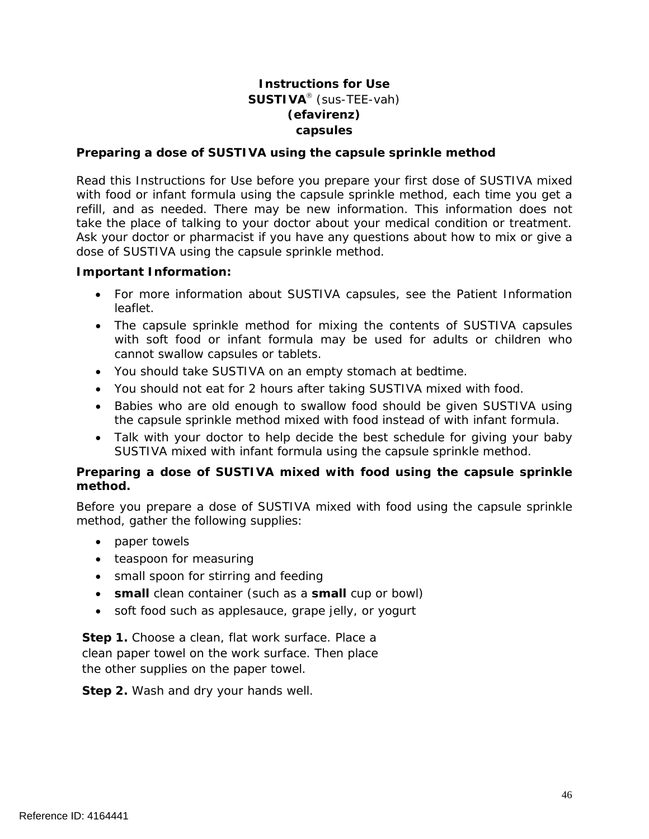# **Instructions for Use SUSTIVA**<sup>®</sup> (sus-TEE-vah) **(efavirenz) capsules**

#### **Preparing a dose of SUSTIVA using the capsule sprinkle method**

Read this Instructions for Use before you prepare your first dose of SUSTIVA mixed with food or infant formula using the capsule sprinkle method, each time you get a refill, and as needed. There may be new information. This information does not take the place of talking to your doctor about your medical condition or treatment. Ask your doctor or pharmacist if you have any questions about how to mix or give a dose of SUSTIVA using the capsule sprinkle method.

#### **Important Information:**

- For more information about SUSTIVA capsules, see the Patient Information leaflet.
- The capsule sprinkle method for mixing the contents of SUSTIVA capsules with soft food or infant formula may be used for adults or children who cannot swallow capsules or tablets.
- You should take SUSTIVA on an empty stomach at bedtime.
- You should not eat for 2 hours after taking SUSTIVA mixed with food.
- Babies who are old enough to swallow food should be given SUSTIVA using the capsule sprinkle method mixed with food instead of with infant formula.
- Talk with your doctor to help decide the best schedule for giving your baby SUSTIVA mixed with infant formula using the capsule sprinkle method.

### **Preparing a dose of SUSTIVA mixed with food using the capsule sprinkle method.**

Before you prepare a dose of SUSTIVA mixed with food using the capsule sprinkle method, gather the following supplies:

- paper towels
- teaspoon for measuring
- small spoon for stirring and feeding
- **small** clean container (such as a **small** cup or bowl)
- soft food such as applesauce, grape jelly, or yogurt

**Step 1.** Choose a clean, flat work surface. Place a clean paper towel on the work surface. Then place the other supplies on the paper towel.

**Step 2.** Wash and dry your hands well.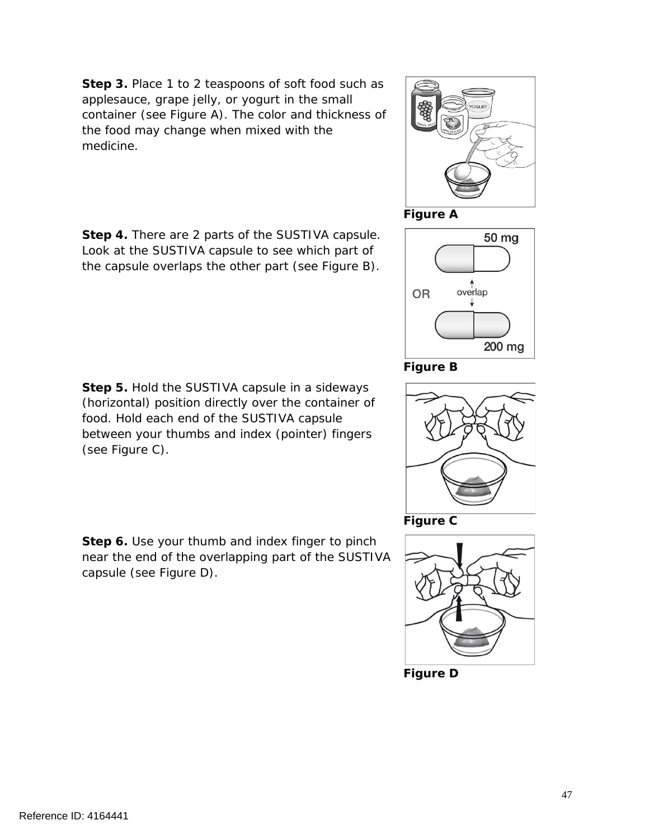**Step 3.** Place 1 to 2 teaspoons of soft food such as applesauce, grape jelly, or yogurt in the small container (see Figure A). The color and thickness of the food may change when mixed with the medicine.

**Step 4.** There are 2 parts of the SUSTIVA capsule. Look at the SUSTIVA capsule to see which part of the capsule overlaps the other part (see Figure B).

**Step 5.** Hold the SUSTIVA capsule in a sideways (horizontal) position directly over the container of food. Hold each end of the SUSTIVA capsule between your thumbs and index (pointer) fingers (see Figure C).

**Step 6.** Use your thumb and index finger to pinch near the end of the overlapping part of the SUSTIVA capsule (see Figure D).



overlap

200 mg







**Figure D**





**OR**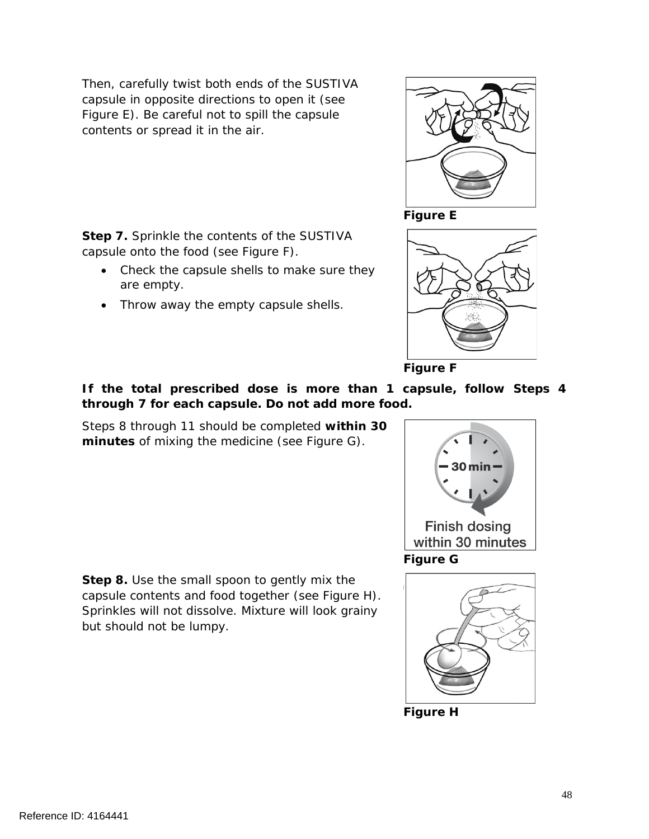Then, carefully twist both ends of the SUSTIVA capsule in opposite directions to open it (see Figure E). Be careful not to spill the capsule contents or spread it in the air.

**Step 7.** Sprinkle the contents of the SUSTIVA

• Throw away the empty capsule shells.

• Check the capsule shells to make sure they

capsule onto the food (see Figure F).

are empty.

**Figure E**





**If the total prescribed dose is more than 1 capsule, follow Steps 4 through 7 for each capsule. Do not add more food.**

Steps 8 through 11 should be completed **within 30 minutes** of mixing the medicine (see Figure G).

**Step 8.** Use the small spoon to gently mix the capsule contents and food together (see Figure H). Sprinkles will not dissolve. Mixture will look grainy but should not be lumpy.





**Figure H**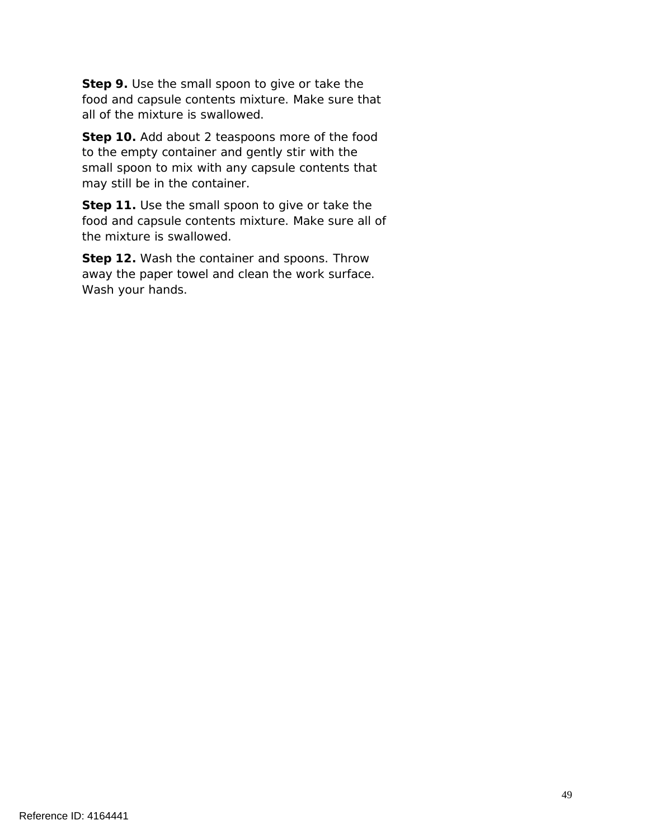**Step 9.** Use the small spoon to give or take the food and capsule contents mixture. Make sure that all of the mixture is swallowed.

**Step 10.** Add about 2 teaspoons more of the food to the empty container and gently stir with the small spoon to mix with any capsule contents that may still be in the container.

**Step 11.** Use the small spoon to give or take the food and capsule contents mixture. Make sure all of the mixture is swallowed.

**Step 12.** Wash the container and spoons. Throw away the paper towel and clean the work surface. Wash your hands.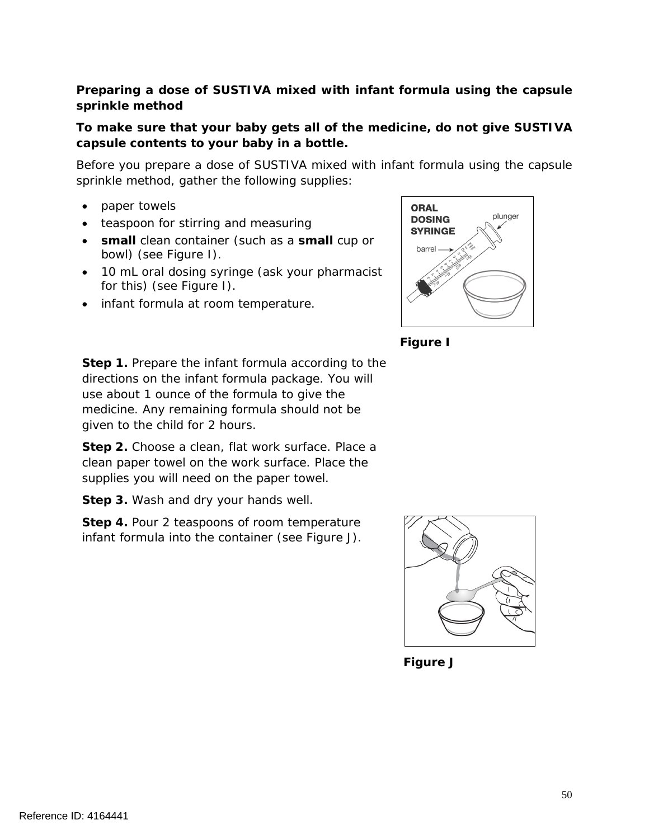## **Preparing a dose of SUSTIVA mixed with infant formula using the capsule sprinkle method**

## **To make sure that your baby gets all of the medicine, do not give SUSTIVA capsule contents to your baby in a bottle.**

Before you prepare a dose of SUSTIVA mixed with infant formula using the capsule sprinkle method, gather the following supplies:

- paper towels
- teaspoon for stirring and measuring
- **small** clean container (such as a **small** cup or bowl) (see Figure I).
- 10 mL oral dosing syringe (ask your pharmacist for this) (see Figure I).
- infant formula at room temperature.





**Step 1.** Prepare the infant formula according to the directions on the infant formula package. You will use about 1 ounce of the formula to give the medicine. Any remaining formula should not be given to the child for 2 hours.

**Step 2.** Choose a clean, flat work surface. Place a clean paper towel on the work surface. Place the supplies you will need on the paper towel.

**Step 3.** Wash and dry your hands well.

**Step 4.** Pour 2 teaspoons of room temperature infant formula into the container (see Figure J).



**Figure J**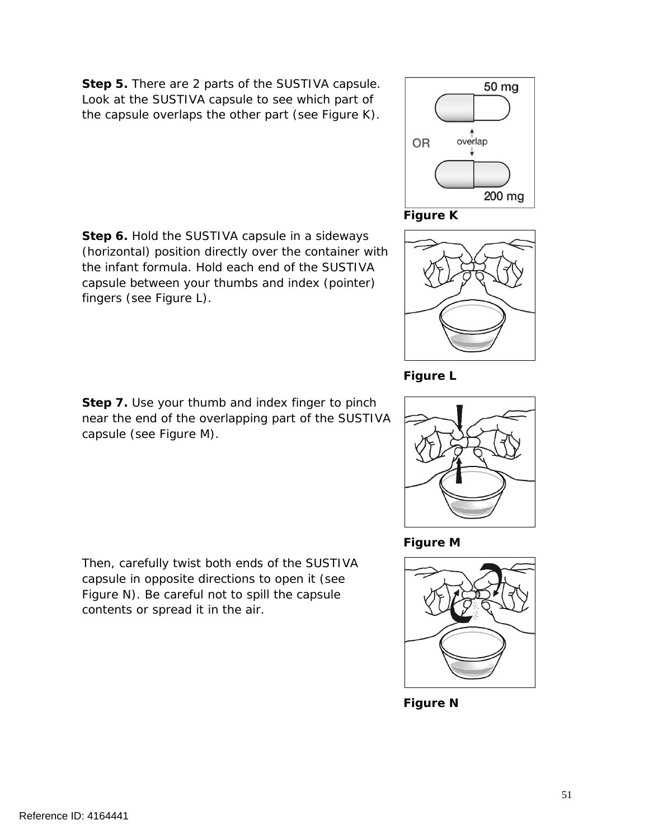**Step 5.** There are 2 parts of the SUSTIVA capsule. Look at the SUSTIVA capsule to see which part of the capsule overlaps the other part (see Figure K).

**Step 6.** Hold the SUSTIVA capsule in a sideways (horizontal) position directly over the container with the infant formula. Hold each end of the SUSTIVA capsule between your thumbs and index (pointer) fingers (see Figure L).

**Step 7.** Use your thumb and index finger to pinch near the end of the overlapping part of the SUSTIVA capsule (see Figure M).

Then, carefully twist both ends of the SUSTIVA capsule in opposite directions to open it (see Figure N). Be careful not to spill the capsule contents or spread it in the air.





**Figure N**





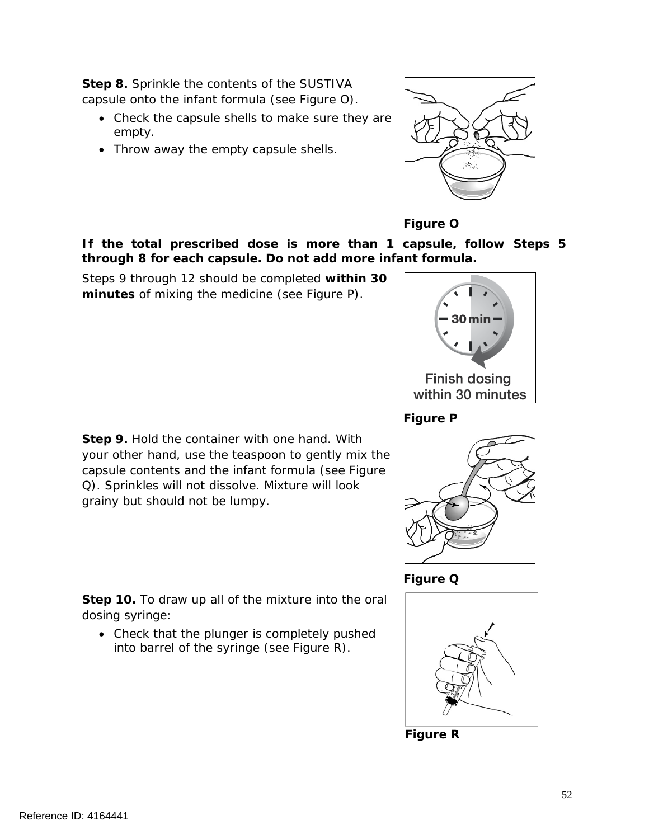**Step 8.** Sprinkle the contents of the SUSTIVA capsule onto the infant formula (see Figure O).

- Check the capsule shells to make sure they are empty.
- Throw away the empty capsule shells.



# **Figure O**

**If the total prescribed dose is more than 1 capsule, follow Steps 5 through 8 for each capsule. Do not add more infant formula.**

Steps 9 through 12 should be completed **within 30 minutes** of mixing the medicine (see Figure P).



# **Figure P**



**Figure Q**



**Figure R**

**Step 9.** Hold the container with one hand. With your other hand, use the teaspoon to gently mix the capsule contents and the infant formula (see Figure Q). Sprinkles will not dissolve. Mixture will look

grainy but should not be lumpy.

**Step 10.** To draw up all of the mixture into the oral dosing syringe:

• Check that the plunger is completely pushed into barrel of the syringe (see Figure R).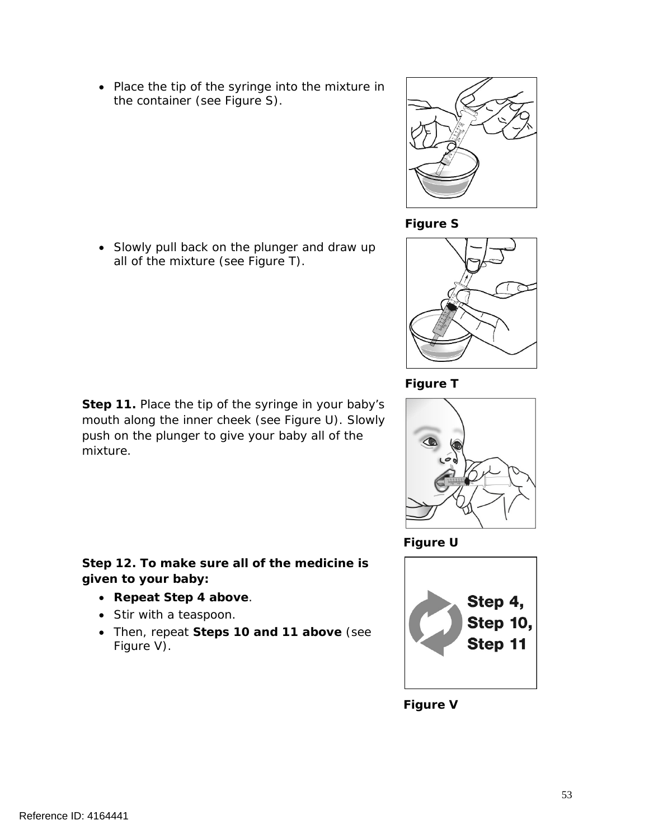Reference ID: 4164441

• Place the tip of the syringe into the mixture in the container (see Figure S).

• Slowly pull back on the plunger and draw up all of the mixture (see Figure T).

**Step 11.** Place the tip of the syringe in your baby's mouth along the inner cheek (see Figure U). Slowly push on the plunger to give your baby all of the mixture.

**Step 12. To make sure all of the medicine is given to your baby:**

- **Repeat Step 4 above**.
- Stir with a teaspoon.
- Then, repeat **Steps 10 and 11 above** (see Figure V).



Step 4,



**Figure U**